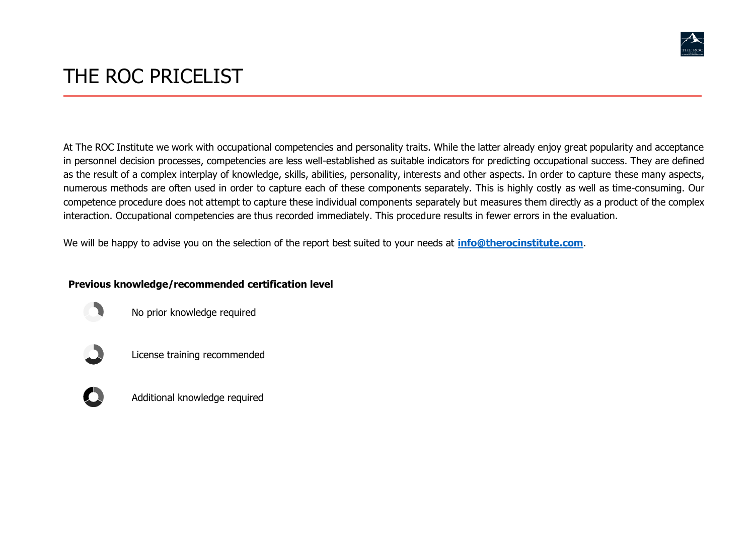

## THE ROC PRICELIST

At The ROC Institute we work with occupational competencies and personality traits. While the latter already enjoy great popularity and acceptance in personnel decision processes, competencies are less well-established as suitable indicators for predicting occupational success. They are defined as the result of a complex interplay of knowledge, skills, abilities, personality, interests and other aspects. In order to capture these many aspects, numerous methods are often used in order to capture each of these components separately. This is highly costly as well as time-consuming. Our competence procedure does not attempt to capture these individual components separately but measures them directly as a product of the complex interaction. Occupational competencies are thus recorded immediately. This procedure results in fewer errors in the evaluation.

We will be happy to advise you on the selection of the report best suited to your needs at **[info@therocinstitute.com](mailto:info@therocinstitute.com)**.

## **Previous knowledge/recommended certification level**

No prior knowledge required

License training recommended



Additional knowledge required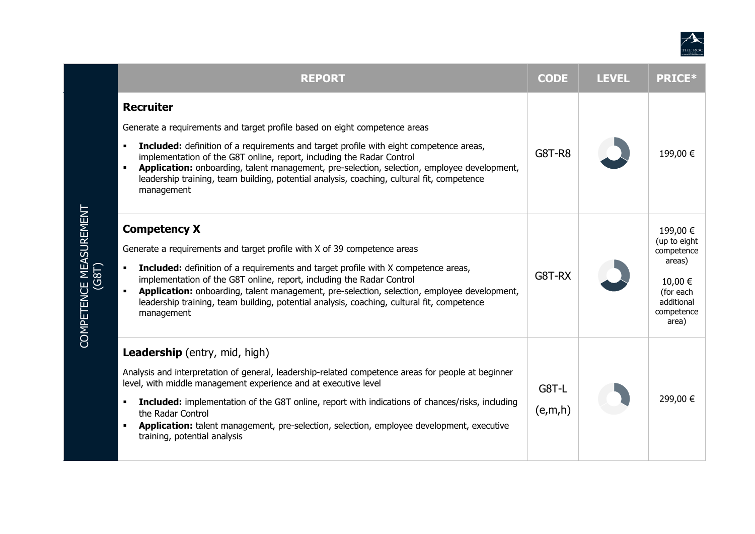

| <b>REPORT</b>                                                                                                                                                                                                                                                                                                                                                                                                                                                                                      | <b>CODE</b>      | <b>LEVEL</b> | <b>PRICE*</b>                                                                                                 |
|----------------------------------------------------------------------------------------------------------------------------------------------------------------------------------------------------------------------------------------------------------------------------------------------------------------------------------------------------------------------------------------------------------------------------------------------------------------------------------------------------|------------------|--------------|---------------------------------------------------------------------------------------------------------------|
| <b>Recruiter</b><br>Generate a requirements and target profile based on eight competence areas<br><b>Included:</b> definition of a requirements and target profile with eight competence areas,<br>implementation of the G8T online, report, including the Radar Control<br>Application: onboarding, talent management, pre-selection, selection, employee development,<br>leadership training, team building, potential analysis, coaching, cultural fit, competence<br>management                | <b>G8T-R8</b>    |              | 199,00 €                                                                                                      |
| <b>Competency X</b><br>Generate a requirements and target profile with X of 39 competence areas<br><b>Included:</b> definition of a requirements and target profile with X competence areas,<br>$\blacksquare$<br>implementation of the G8T online, report, including the Radar Control<br>Application: onboarding, talent management, pre-selection, selection, employee development,<br>leadership training, team building, potential analysis, coaching, cultural fit, competence<br>management | G8T-RX           |              | 199,00 €<br>(up to eight<br>competence<br>areas)<br>10,00 €<br>(for each<br>additional<br>competence<br>area) |
| <b>Leadership</b> (entry, mid, high)<br>Analysis and interpretation of general, leadership-related competence areas for people at beginner<br>level, with middle management experience and at executive level<br><b>Included:</b> implementation of the G8T online, report with indications of chances/risks, including<br>the Radar Control<br>Application: talent management, pre-selection, selection, employee development, executive<br>training, potential analysis                          | G8T-L<br>(e,m,h) |              | 299,00 €                                                                                                      |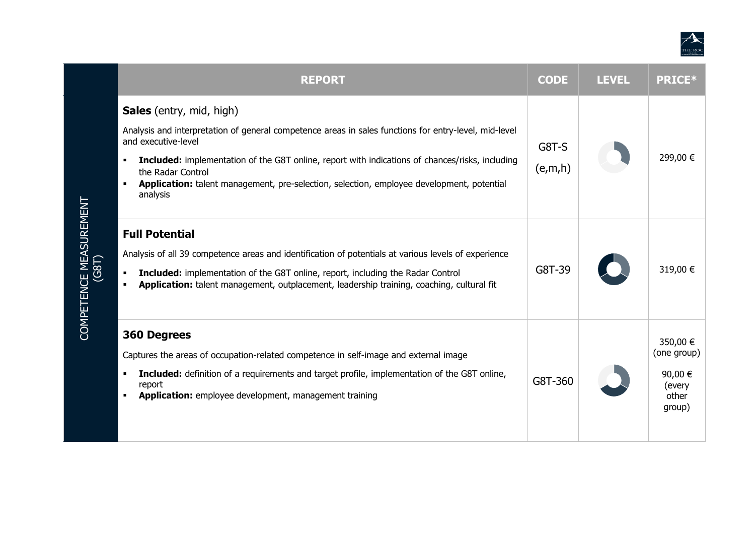

| <b>REPORT</b>                                                                                                                                                                                                                                                                                                                                                                                                | <b>CODE</b>      | <b>LEVEL</b> | <b>PRICE*</b>                                                   |
|--------------------------------------------------------------------------------------------------------------------------------------------------------------------------------------------------------------------------------------------------------------------------------------------------------------------------------------------------------------------------------------------------------------|------------------|--------------|-----------------------------------------------------------------|
| <b>Sales</b> (entry, mid, high)<br>Analysis and interpretation of general competence areas in sales functions for entry-level, mid-level<br>and executive-level<br><b>Included:</b> implementation of the G8T online, report with indications of chances/risks, including<br>٠<br>the Radar Control<br>Application: talent management, pre-selection, selection, employee development, potential<br>analysis | G8T-S<br>(e,m,h) |              | 299,00 €                                                        |
| <b>Full Potential</b><br>Analysis of all 39 competence areas and identification of potentials at various levels of experience<br><b>Included:</b> implementation of the G8T online, report, including the Radar Control<br>٠<br>Application: talent management, outplacement, leadership training, coaching, cultural fit<br>٠                                                                               | G8T-39           |              | 319,00 €                                                        |
| <b>360 Degrees</b><br>Captures the areas of occupation-related competence in self-image and external image<br><b>Included:</b> definition of a requirements and target profile, implementation of the G8T online,<br>٠<br>report<br>Application: employee development, management training                                                                                                                   | G8T-360          |              | 350,00 €<br>(one group)<br>90,00 €<br>(every<br>other<br>group) |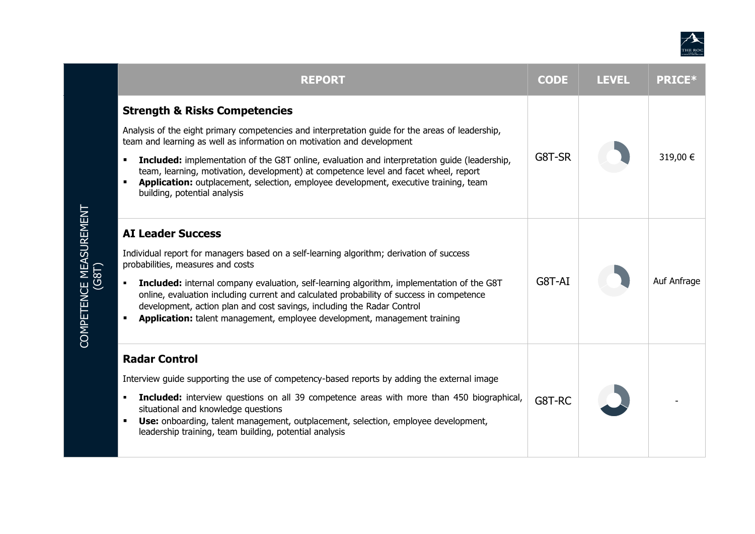

| <b>REPORT</b>                                                                                                                                                                                                                                                                                                                                                                                                                                                                                                                          | <b>CODE</b> | <b>LEVEL</b> | <b>PRICE*</b> |
|----------------------------------------------------------------------------------------------------------------------------------------------------------------------------------------------------------------------------------------------------------------------------------------------------------------------------------------------------------------------------------------------------------------------------------------------------------------------------------------------------------------------------------------|-------------|--------------|---------------|
| <b>Strength &amp; Risks Competencies</b><br>Analysis of the eight primary competencies and interpretation guide for the areas of leadership,<br>team and learning as well as information on motivation and development<br>Included: implementation of the G8T online, evaluation and interpretation guide (leadership,<br>team, learning, motivation, development) at competence level and facet wheel, report<br>Application: outplacement, selection, employee development, executive training, team<br>building, potential analysis | G8T-SR      |              | 319,00 €      |
| <b>AI Leader Success</b><br>Individual report for managers based on a self-learning algorithm; derivation of success<br>probabilities, measures and costs<br><b>Included:</b> internal company evaluation, self-learning algorithm, implementation of the G8T<br>online, evaluation including current and calculated probability of success in competence<br>development, action plan and cost savings, including the Radar Control<br><b>Application:</b> talent management, employee development, management training                | G8T-AI      |              | Auf Anfrage   |
| <b>Radar Control</b><br>Interview guide supporting the use of competency-based reports by adding the external image<br><b>Included:</b> interview questions on all 39 competence areas with more than 450 biographical,<br>situational and knowledge questions<br><b>Use:</b> onboarding, talent management, outplacement, selection, employee development,<br>٠<br>leadership training, team building, potential analysis                                                                                                             | G8T-RC      |              |               |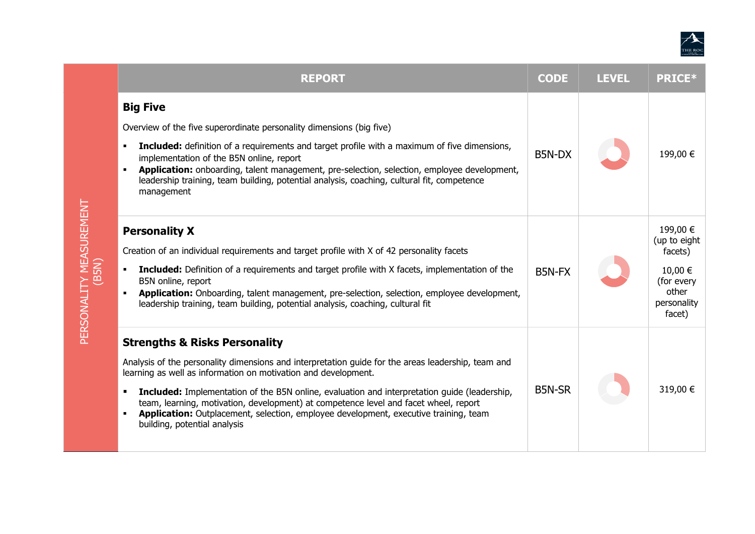

|  | <b>REPORT</b>                                                                                                                                                                                                                                                                                                                                                                                                                                                                                                                                | <b>CODE</b>   | <b>LEVEL</b> | <b>PRICE*</b>                                                                                  |
|--|----------------------------------------------------------------------------------------------------------------------------------------------------------------------------------------------------------------------------------------------------------------------------------------------------------------------------------------------------------------------------------------------------------------------------------------------------------------------------------------------------------------------------------------------|---------------|--------------|------------------------------------------------------------------------------------------------|
|  | <b>Big Five</b><br>Overview of the five superordinate personality dimensions (big five)<br>Included: definition of a requirements and target profile with a maximum of five dimensions,<br>٠<br>implementation of the B5N online, report<br>Application: onboarding, talent management, pre-selection, selection, employee development,<br>leadership training, team building, potential analysis, coaching, cultural fit, competence<br>management                                                                                          | B5N-DX        |              | 199,00 €                                                                                       |
|  | <b>Personality X</b><br>Creation of an individual requirements and target profile with X of 42 personality facets<br>Included: Definition of a requirements and target profile with X facets, implementation of the<br>B5N online, report<br>Application: Onboarding, talent management, pre-selection, selection, employee development,<br>leadership training, team building, potential analysis, coaching, cultural fit                                                                                                                   | B5N-FX        |              | 199,00 €<br>(up to eight<br>facets)<br>10,00 €<br>(for every<br>other<br>personality<br>facet) |
|  | <b>Strengths &amp; Risks Personality</b><br>Analysis of the personality dimensions and interpretation guide for the areas leadership, team and<br>learning as well as information on motivation and development.<br><b>Included:</b> Implementation of the B5N online, evaluation and interpretation guide (leadership,<br>٠<br>team, learning, motivation, development) at competence level and facet wheel, report<br>Application: Outplacement, selection, employee development, executive training, team<br>building, potential analysis | <b>B5N-SR</b> |              | 319,00 €                                                                                       |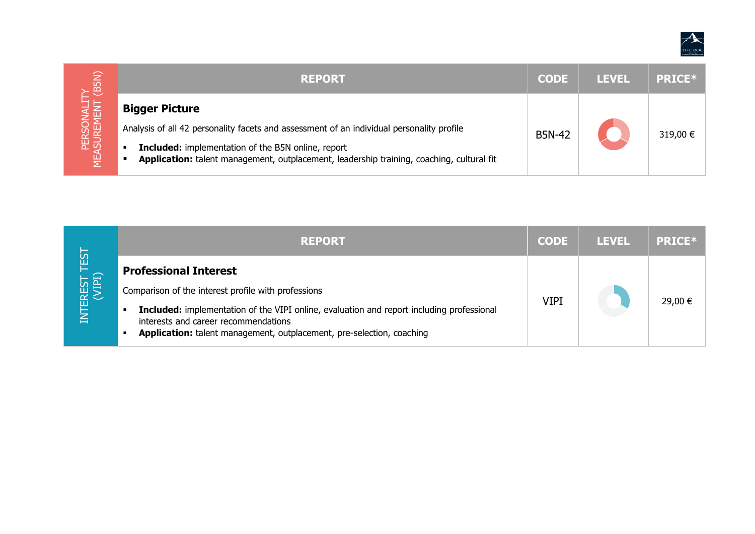

| <b>REPORT</b>                                                                                                                                               | <b>CODE</b> | <b>LEVEL</b> | <b>PRICE*</b> |
|-------------------------------------------------------------------------------------------------------------------------------------------------------------|-------------|--------------|---------------|
| <b>Bigger Picture</b><br>Analysis of all 42 personality facets and assessment of an individual personality profile<br><b>B5N-42</b>                         |             |              | 319,00 €      |
| <b>Included:</b> implementation of the B5N online, report<br>٠<br>Application: talent management, outplacement, leadership training, coaching, cultural fit |             |              |               |

| 29,00 € |
|---------|
|         |